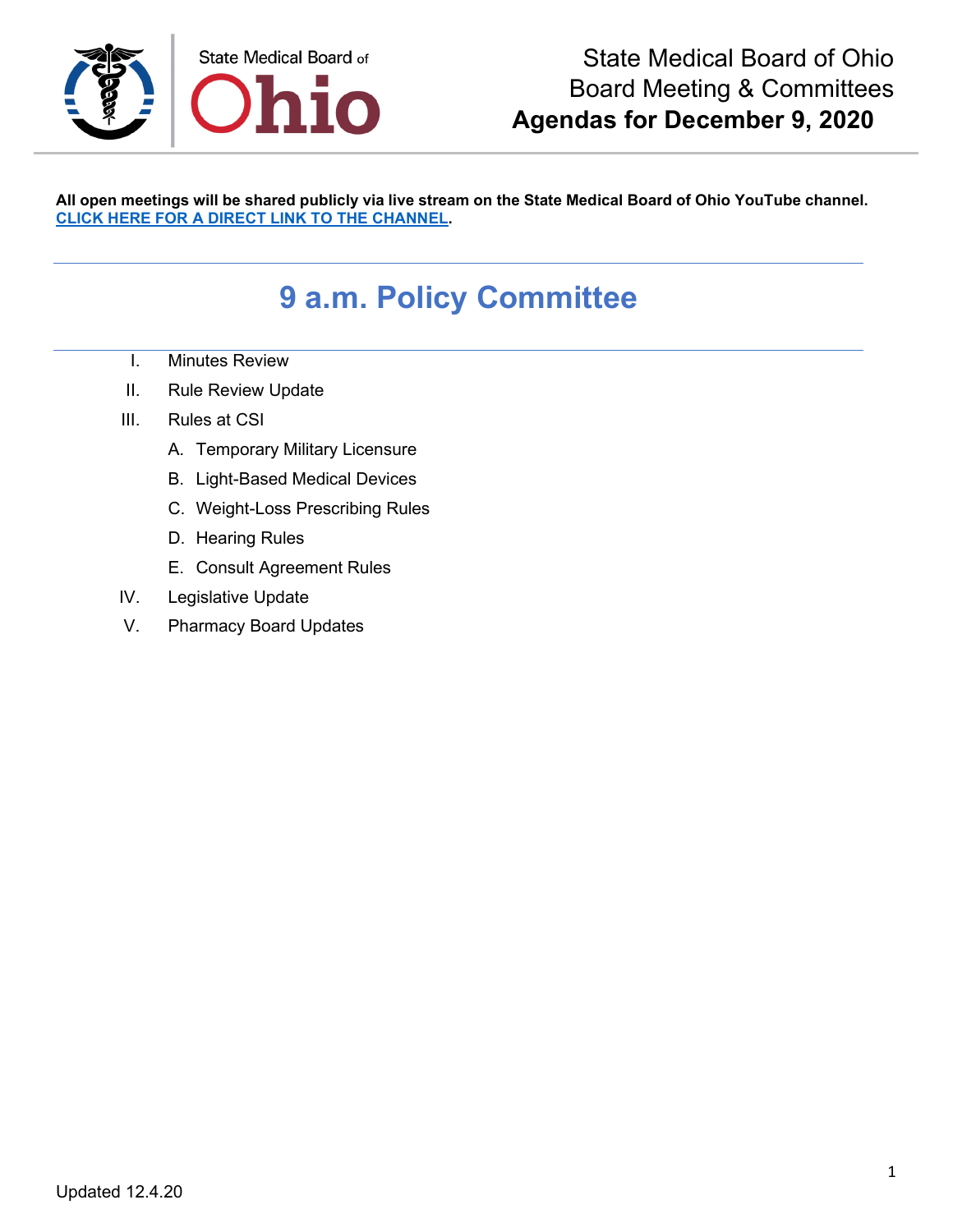

**All open meetings will be shared publicly via live stream on the State Medical Board of Ohio YouTube channel. [CLICK HERE FOR A DIRECT LINK TO THE CHANNEL.](https://www.youtube.com/channel/UCWBHBfwOyUtBZmBEZvtYPvA)**

## **9 a.m. Policy Committee**

- I. Minutes Review
- II. Rule Review Update
- III. Rules at CSI
	- A. Temporary Military Licensure
	- B. Light-Based Medical Devices
	- C. Weight-Loss Prescribing Rules
	- D. Hearing Rules
	- E. Consult Agreement Rules
- IV. Legislative Update
- V. Pharmacy Board Updates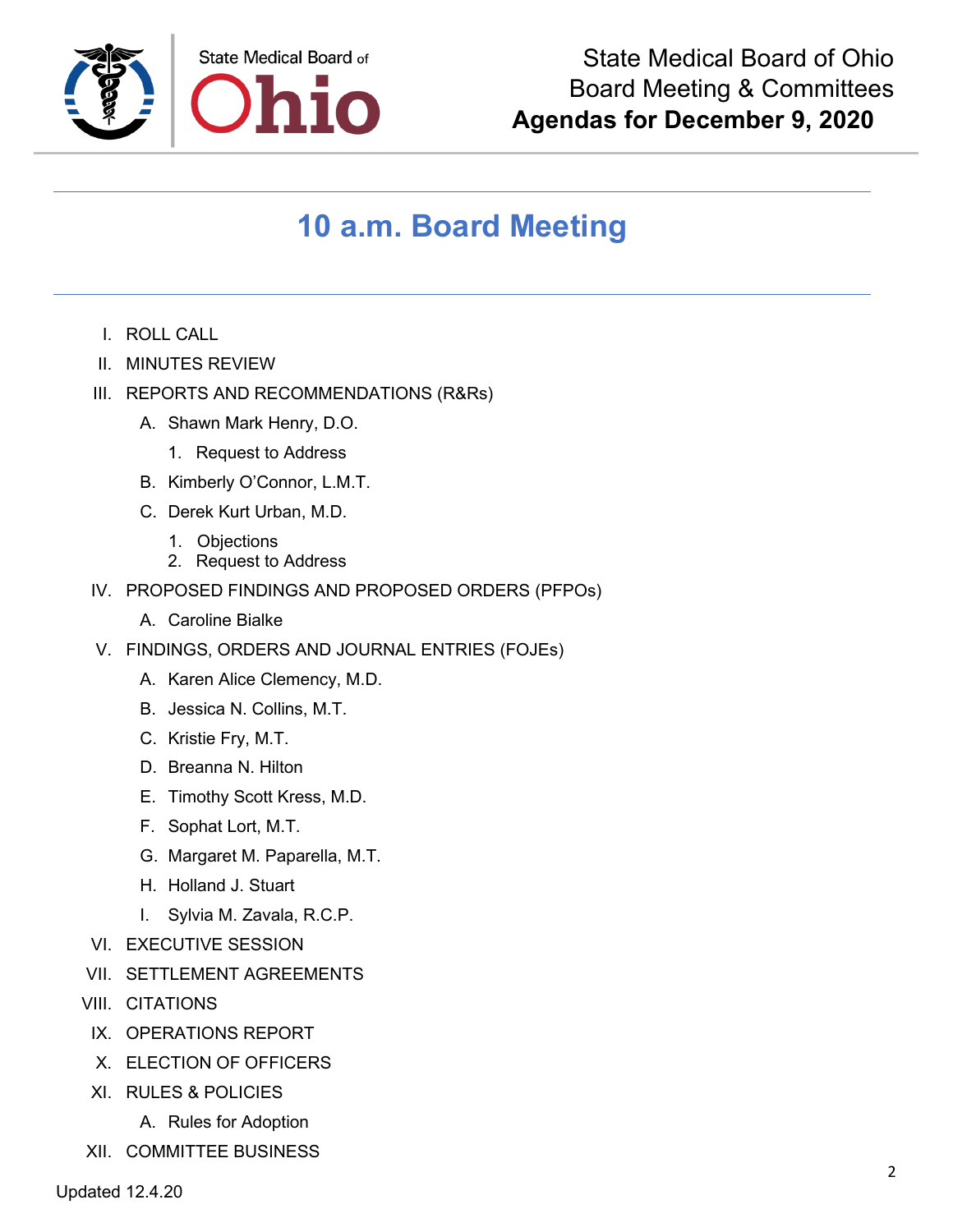

## **10 a.m. Board Meeting**

- I. ROLL CALL
- II. MINUTES REVIEW
- III. REPORTS AND RECOMMENDATIONS (R&Rs)
	- A. Shawn Mark Henry, D.O.
		- 1. Request to Address
	- B. Kimberly O'Connor, L.M.T.
	- C. Derek Kurt Urban, M.D.
		- 1. Objections
		- 2. Request to Address
- IV. PROPOSED FINDINGS AND PROPOSED ORDERS (PFPOs)
	- A. Caroline Bialke
- V. FINDINGS, ORDERS AND JOURNAL ENTRIES (FOJEs)
	- A. Karen Alice Clemency, M.D.
	- B. Jessica N. Collins, M.T.
	- C. Kristie Fry, M.T.
	- D. Breanna N. Hilton
	- E. Timothy Scott Kress, M.D.
	- F. Sophat Lort, M.T.
	- G. Margaret M. Paparella, M.T.
	- H. Holland J. Stuart
	- I. Sylvia M. Zavala, R.C.P.
- VI. EXECUTIVE SESSION
- VII. SETTLEMENT AGREEMENTS
- VIII. CITATIONS
- IX. OPERATIONS REPORT
- X. ELECTION OF OFFICERS
- XI. RULES & POLICIES
	- A. Rules for Adoption
- XII. COMMITTEE BUSINESS